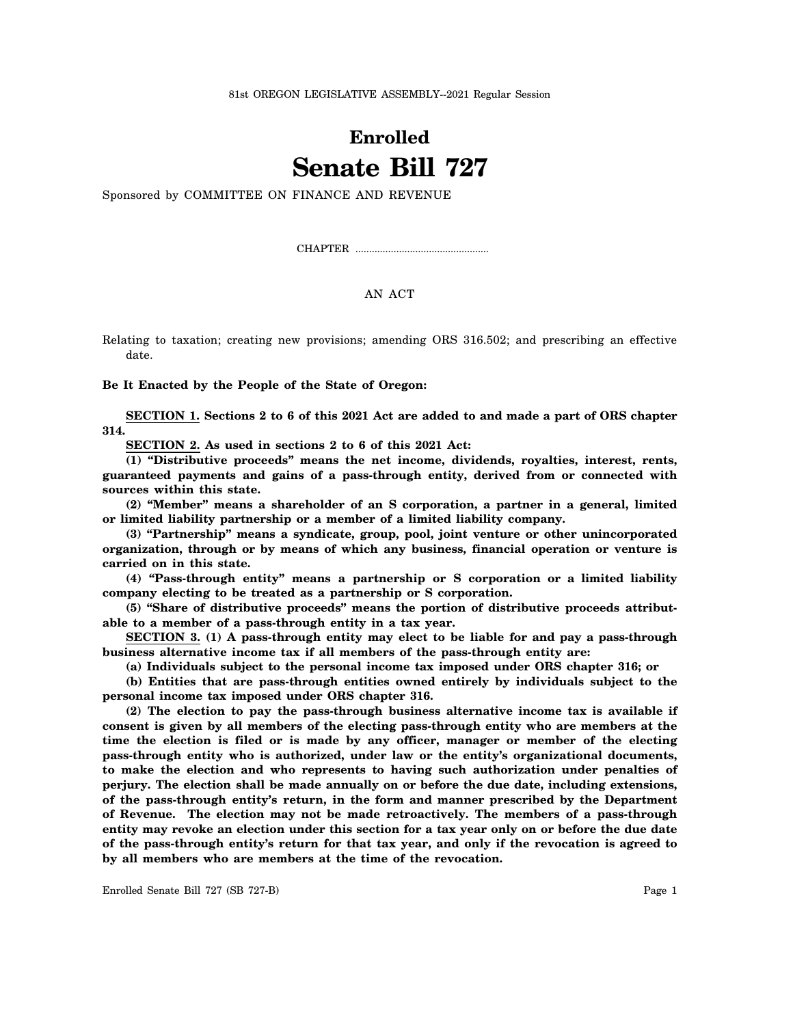81st OREGON LEGISLATIVE ASSEMBLY--2021 Regular Session

## **Enrolled Senate Bill 727**

Sponsored by COMMITTEE ON FINANCE AND REVENUE

CHAPTER .................................................

## AN ACT

Relating to taxation; creating new provisions; amending ORS 316.502; and prescribing an effective date.

**Be It Enacted by the People of the State of Oregon:**

**SECTION 1. Sections 2 to 6 of this 2021 Act are added to and made a part of ORS chapter 314.**

**SECTION 2. As used in sections 2 to 6 of this 2021 Act:**

**(1) "Distributive proceeds" means the net income, dividends, royalties, interest, rents, guaranteed payments and gains of a pass-through entity, derived from or connected with sources within this state.**

**(2) "Member" means a shareholder of an S corporation, a partner in a general, limited or limited liability partnership or a member of a limited liability company.**

**(3) "Partnership" means a syndicate, group, pool, joint venture or other unincorporated organization, through or by means of which any business, financial operation or venture is carried on in this state.**

**(4) "Pass-through entity" means a partnership or S corporation or a limited liability company electing to be treated as a partnership or S corporation.**

**(5) "Share of distributive proceeds" means the portion of distributive proceeds attributable to a member of a pass-through entity in a tax year.**

**SECTION 3. (1) A pass-through entity may elect to be liable for and pay a pass-through business alternative income tax if all members of the pass-through entity are:**

**(a) Individuals subject to the personal income tax imposed under ORS chapter 316; or**

**(b) Entities that are pass-through entities owned entirely by individuals subject to the personal income tax imposed under ORS chapter 316.**

**(2) The election to pay the pass-through business alternative income tax is available if consent is given by all members of the electing pass-through entity who are members at the time the election is filed or is made by any officer, manager or member of the electing pass-through entity who is authorized, under law or the entity's organizational documents, to make the election and who represents to having such authorization under penalties of perjury. The election shall be made annually on or before the due date, including extensions, of the pass-through entity's return, in the form and manner prescribed by the Department of Revenue. The election may not be made retroactively. The members of a pass-through entity may revoke an election under this section for a tax year only on or before the due date of the pass-through entity's return for that tax year, and only if the revocation is agreed to by all members who are members at the time of the revocation.**

Enrolled Senate Bill 727 (SB 727-B) Page 1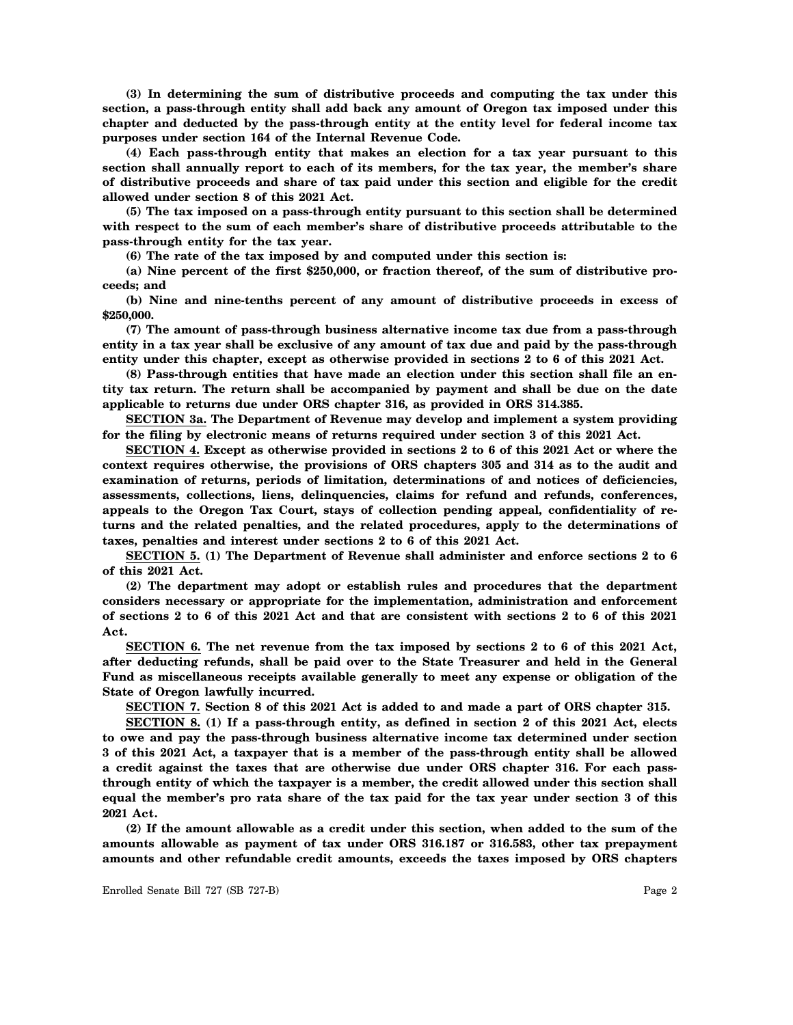**(3) In determining the sum of distributive proceeds and computing the tax under this section, a pass-through entity shall add back any amount of Oregon tax imposed under this chapter and deducted by the pass-through entity at the entity level for federal income tax purposes under section 164 of the Internal Revenue Code.**

**(4) Each pass-through entity that makes an election for a tax year pursuant to this section shall annually report to each of its members, for the tax year, the member's share of distributive proceeds and share of tax paid under this section and eligible for the credit allowed under section 8 of this 2021 Act.**

**(5) The tax imposed on a pass-through entity pursuant to this section shall be determined with respect to the sum of each member's share of distributive proceeds attributable to the pass-through entity for the tax year.**

**(6) The rate of the tax imposed by and computed under this section is:**

**(a) Nine percent of the first \$250,000, or fraction thereof, of the sum of distributive proceeds; and**

**(b) Nine and nine-tenths percent of any amount of distributive proceeds in excess of \$250,000.**

**(7) The amount of pass-through business alternative income tax due from a pass-through entity in a tax year shall be exclusive of any amount of tax due and paid by the pass-through entity under this chapter, except as otherwise provided in sections 2 to 6 of this 2021 Act.**

**(8) Pass-through entities that have made an election under this section shall file an entity tax return. The return shall be accompanied by payment and shall be due on the date applicable to returns due under ORS chapter 316, as provided in ORS 314.385.**

**SECTION 3a. The Department of Revenue may develop and implement a system providing for the filing by electronic means of returns required under section 3 of this 2021 Act.**

**SECTION 4. Except as otherwise provided in sections 2 to 6 of this 2021 Act or where the context requires otherwise, the provisions of ORS chapters 305 and 314 as to the audit and examination of returns, periods of limitation, determinations of and notices of deficiencies, assessments, collections, liens, delinquencies, claims for refund and refunds, conferences, appeals to the Oregon Tax Court, stays of collection pending appeal, confidentiality of returns and the related penalties, and the related procedures, apply to the determinations of taxes, penalties and interest under sections 2 to 6 of this 2021 Act.**

**SECTION 5. (1) The Department of Revenue shall administer and enforce sections 2 to 6 of this 2021 Act.**

**(2) The department may adopt or establish rules and procedures that the department considers necessary or appropriate for the implementation, administration and enforcement of sections 2 to 6 of this 2021 Act and that are consistent with sections 2 to 6 of this 2021 Act.**

**SECTION 6. The net revenue from the tax imposed by sections 2 to 6 of this 2021 Act, after deducting refunds, shall be paid over to the State Treasurer and held in the General Fund as miscellaneous receipts available generally to meet any expense or obligation of the State of Oregon lawfully incurred.**

**SECTION 7. Section 8 of this 2021 Act is added to and made a part of ORS chapter 315.**

**SECTION 8. (1) If a pass-through entity, as defined in section 2 of this 2021 Act, elects to owe and pay the pass-through business alternative income tax determined under section 3 of this 2021 Act, a taxpayer that is a member of the pass-through entity shall be allowed a credit against the taxes that are otherwise due under ORS chapter 316. For each passthrough entity of which the taxpayer is a member, the credit allowed under this section shall equal the member's pro rata share of the tax paid for the tax year under section 3 of this 2021 Act.**

**(2) If the amount allowable as a credit under this section, when added to the sum of the amounts allowable as payment of tax under ORS 316.187 or 316.583, other tax prepayment amounts and other refundable credit amounts, exceeds the taxes imposed by ORS chapters**